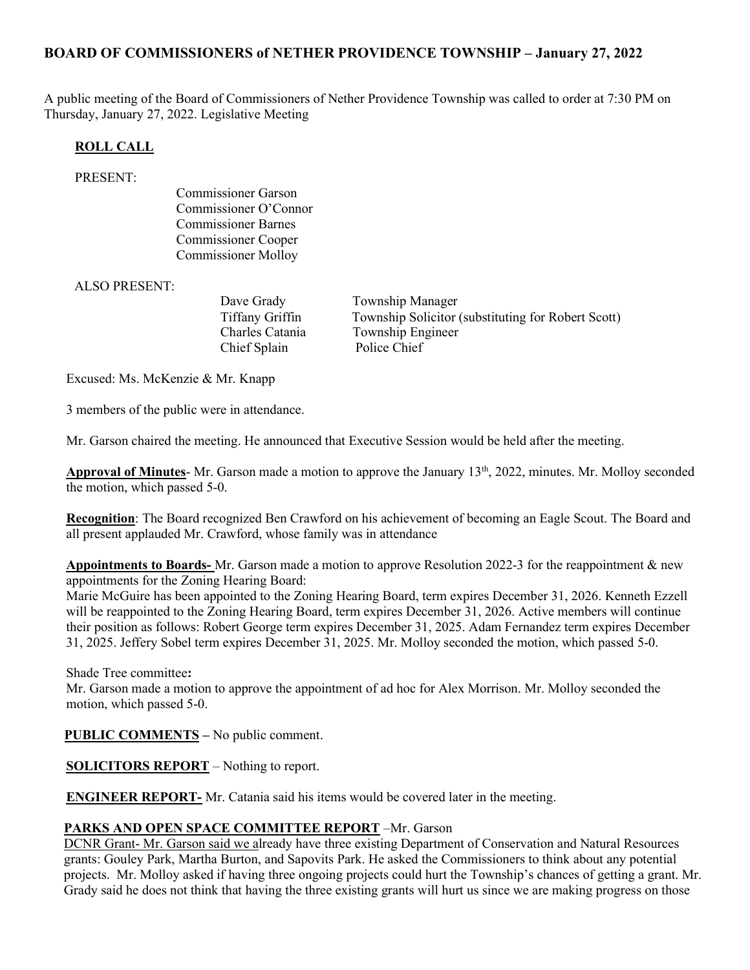# BOARD OF COMMISSIONERS of NETHER PROVIDENCE TOWNSHIP – January 27, 2022

A public meeting of the Board of Commissioners of Nether Providence Township was called to order at 7:30 PM on Thursday, January 27, 2022. Legislative Meeting

### ROLL CALL

#### PRESENT:

Commissioner Garson Commissioner O'Connor Commissioner Barnes Commissioner Cooper Commissioner Molloy

ALSO PRESENT:

Chief Splain Police Chief

Dave Grady Township Manager Tiffany Griffin Township Solicitor (substituting for Robert Scott) Charles Catania Township Engineer

Excused: Ms. McKenzie & Mr. Knapp

3 members of the public were in attendance.

Mr. Garson chaired the meeting. He announced that Executive Session would be held after the meeting.

Approval of Minutes- Mr. Garson made a motion to approve the January 13<sup>th</sup>, 2022, minutes. Mr. Molloy seconded the motion, which passed 5-0.

Recognition: The Board recognized Ben Crawford on his achievement of becoming an Eagle Scout. The Board and all present applauded Mr. Crawford, whose family was in attendance

Appointments to Boards- Mr. Garson made a motion to approve Resolution 2022-3 for the reappointment & new appointments for the Zoning Hearing Board:

Marie McGuire has been appointed to the Zoning Hearing Board, term expires December 31, 2026. Kenneth Ezzell will be reappointed to the Zoning Hearing Board, term expires December 31, 2026. Active members will continue their position as follows: Robert George term expires December 31, 2025. Adam Fernandez term expires December 31, 2025. Jeffery Sobel term expires December 31, 2025. Mr. Molloy seconded the motion, which passed 5-0.

Shade Tree committee:

Mr. Garson made a motion to approve the appointment of ad hoc for Alex Morrison. Mr. Molloy seconded the motion, which passed 5-0.

PUBLIC COMMENTS – No public comment.

SOLICITORS REPORT – Nothing to report.

ENGINEER REPORT- Mr. Catania said his items would be covered later in the meeting.

#### PARKS AND OPEN SPACE COMMITTEE REPORT –Mr. Garson

DCNR Grant- Mr. Garson said we already have three existing Department of Conservation and Natural Resources grants: Gouley Park, Martha Burton, and Sapovits Park. He asked the Commissioners to think about any potential projects. Mr. Molloy asked if having three ongoing projects could hurt the Township's chances of getting a grant. Mr. Grady said he does not think that having the three existing grants will hurt us since we are making progress on those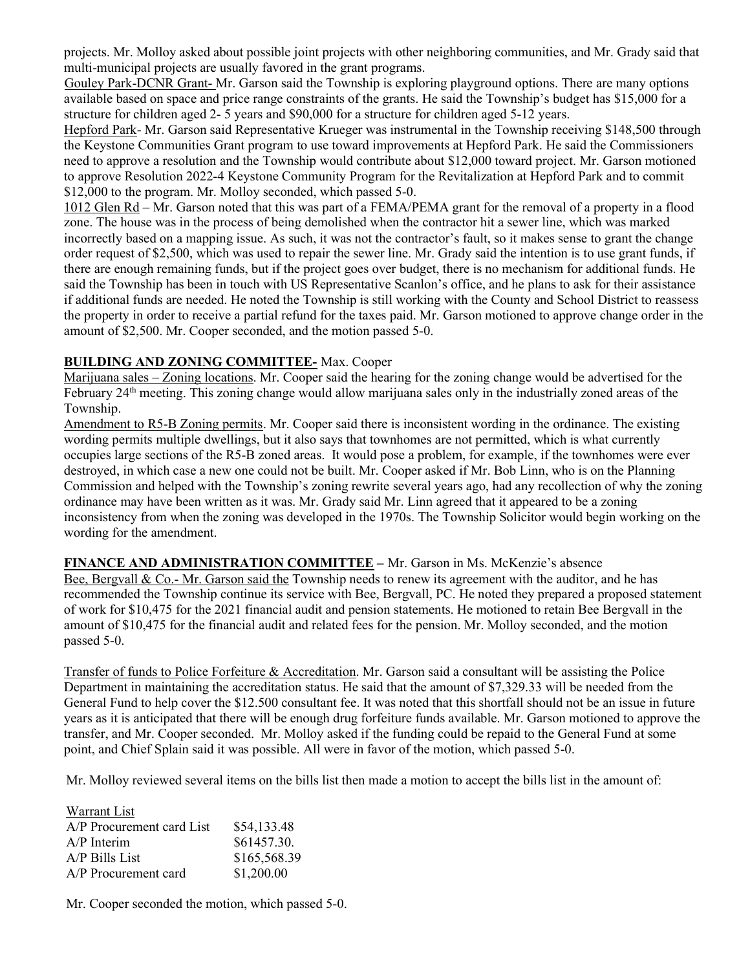projects. Mr. Molloy asked about possible joint projects with other neighboring communities, and Mr. Grady said that multi-municipal projects are usually favored in the grant programs.

Gouley Park-DCNR Grant- Mr. Garson said the Township is exploring playground options. There are many options available based on space and price range constraints of the grants. He said the Township's budget has \$15,000 for a structure for children aged 2- 5 years and \$90,000 for a structure for children aged 5-12 years.

Hepford Park- Mr. Garson said Representative Krueger was instrumental in the Township receiving \$148,500 through the Keystone Communities Grant program to use toward improvements at Hepford Park. He said the Commissioners need to approve a resolution and the Township would contribute about \$12,000 toward project. Mr. Garson motioned to approve Resolution 2022-4 Keystone Community Program for the Revitalization at Hepford Park and to commit \$12,000 to the program. Mr. Molloy seconded, which passed 5-0.

1012 Glen Rd – Mr. Garson noted that this was part of a FEMA/PEMA grant for the removal of a property in a flood zone. The house was in the process of being demolished when the contractor hit a sewer line, which was marked incorrectly based on a mapping issue. As such, it was not the contractor's fault, so it makes sense to grant the change order request of \$2,500, which was used to repair the sewer line. Mr. Grady said the intention is to use grant funds, if there are enough remaining funds, but if the project goes over budget, there is no mechanism for additional funds. He said the Township has been in touch with US Representative Scanlon's office, and he plans to ask for their assistance if additional funds are needed. He noted the Township is still working with the County and School District to reassess the property in order to receive a partial refund for the taxes paid. Mr. Garson motioned to approve change order in the amount of \$2,500. Mr. Cooper seconded, and the motion passed 5-0.

## BUILDING AND ZONING COMMITTEE- Max. Cooper

Marijuana sales – Zoning locations. Mr. Cooper said the hearing for the zoning change would be advertised for the February 24<sup>th</sup> meeting. This zoning change would allow marijuana sales only in the industrially zoned areas of the Township.

Amendment to R5-B Zoning permits. Mr. Cooper said there is inconsistent wording in the ordinance. The existing wording permits multiple dwellings, but it also says that townhomes are not permitted, which is what currently occupies large sections of the R5-B zoned areas. It would pose a problem, for example, if the townhomes were ever destroyed, in which case a new one could not be built. Mr. Cooper asked if Mr. Bob Linn, who is on the Planning Commission and helped with the Township's zoning rewrite several years ago, had any recollection of why the zoning ordinance may have been written as it was. Mr. Grady said Mr. Linn agreed that it appeared to be a zoning inconsistency from when the zoning was developed in the 1970s. The Township Solicitor would begin working on the wording for the amendment.

FINANCE AND ADMINISTRATION COMMITTEE – Mr. Garson in Ms. McKenzie's absence

Bee, Bergvall & Co.- Mr. Garson said the Township needs to renew its agreement with the auditor, and he has recommended the Township continue its service with Bee, Bergvall, PC. He noted they prepared a proposed statement of work for \$10,475 for the 2021 financial audit and pension statements. He motioned to retain Bee Bergvall in the amount of \$10,475 for the financial audit and related fees for the pension. Mr. Molloy seconded, and the motion passed 5-0.

Transfer of funds to Police Forfeiture & Accreditation. Mr. Garson said a consultant will be assisting the Police Department in maintaining the accreditation status. He said that the amount of \$7,329.33 will be needed from the General Fund to help cover the \$12.500 consultant fee. It was noted that this shortfall should not be an issue in future years as it is anticipated that there will be enough drug forfeiture funds available. Mr. Garson motioned to approve the transfer, and Mr. Cooper seconded. Mr. Molloy asked if the funding could be repaid to the General Fund at some point, and Chief Splain said it was possible. All were in favor of the motion, which passed 5-0.

Mr. Molloy reviewed several items on the bills list then made a motion to accept the bills list in the amount of:

| Warrant List              |              |
|---------------------------|--------------|
| A/P Procurement card List | \$54,133.48  |
| $A/P$ Interim             | \$61457.30.  |
| $A/P$ Bills List          | \$165,568.39 |
| A/P Procurement card      | \$1,200.00   |

Mr. Cooper seconded the motion, which passed 5-0.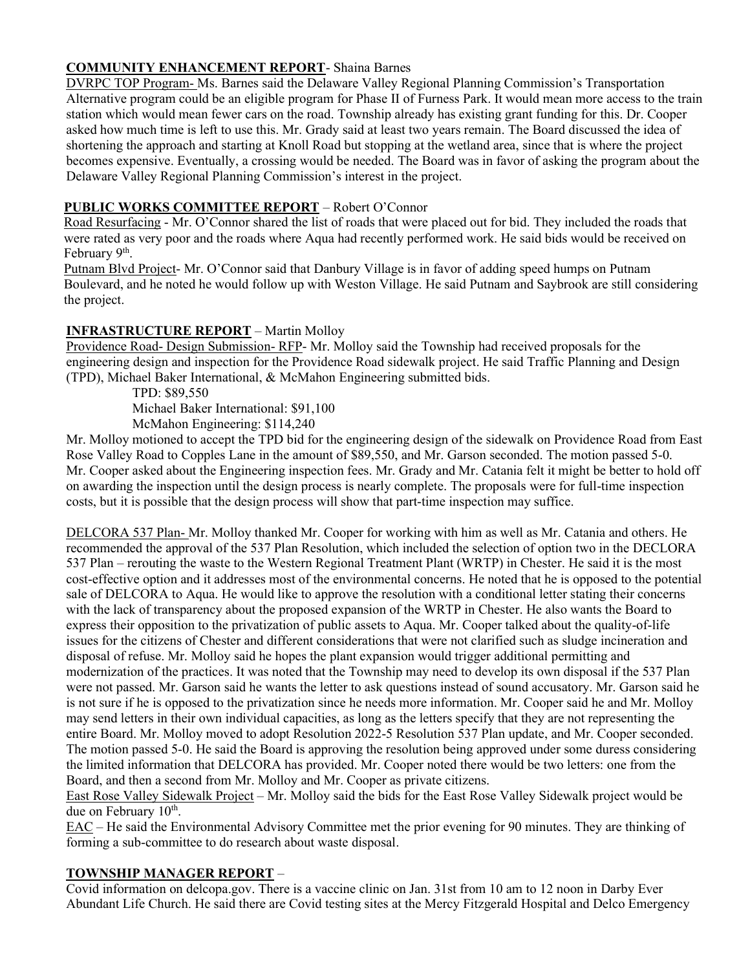# COMMUNITY ENHANCEMENT REPORT- Shaina Barnes

DVRPC TOP Program- Ms. Barnes said the Delaware Valley Regional Planning Commission's Transportation Alternative program could be an eligible program for Phase II of Furness Park. It would mean more access to the train station which would mean fewer cars on the road. Township already has existing grant funding for this. Dr. Cooper asked how much time is left to use this. Mr. Grady said at least two years remain. The Board discussed the idea of shortening the approach and starting at Knoll Road but stopping at the wetland area, since that is where the project becomes expensive. Eventually, a crossing would be needed. The Board was in favor of asking the program about the Delaware Valley Regional Planning Commission's interest in the project.

## PUBLIC WORKS COMMITTEE REPORT – Robert O'Connor

Road Resurfacing - Mr. O'Connor shared the list of roads that were placed out for bid. They included the roads that were rated as very poor and the roads where Aqua had recently performed work. He said bids would be received on February 9<sup>th</sup>.

Putnam Blvd Project- Mr. O'Connor said that Danbury Village is in favor of adding speed humps on Putnam Boulevard, and he noted he would follow up with Weston Village. He said Putnam and Saybrook are still considering the project.

## INFRASTRUCTURE REPORT – Martin Molloy

Providence Road- Design Submission- RFP- Mr. Molloy said the Township had received proposals for the engineering design and inspection for the Providence Road sidewalk project. He said Traffic Planning and Design (TPD), Michael Baker International, & McMahon Engineering submitted bids.

TPD: \$89,550

Michael Baker International: \$91,100

McMahon Engineering: \$114,240

Mr. Molloy motioned to accept the TPD bid for the engineering design of the sidewalk on Providence Road from East Rose Valley Road to Copples Lane in the amount of \$89,550, and Mr. Garson seconded. The motion passed 5-0. Mr. Cooper asked about the Engineering inspection fees. Mr. Grady and Mr. Catania felt it might be better to hold off on awarding the inspection until the design process is nearly complete. The proposals were for full-time inspection costs, but it is possible that the design process will show that part-time inspection may suffice.

DELCORA 537 Plan- Mr. Molloy thanked Mr. Cooper for working with him as well as Mr. Catania and others. He recommended the approval of the 537 Plan Resolution, which included the selection of option two in the DECLORA 537 Plan – rerouting the waste to the Western Regional Treatment Plant (WRTP) in Chester. He said it is the most cost-effective option and it addresses most of the environmental concerns. He noted that he is opposed to the potential sale of DELCORA to Aqua. He would like to approve the resolution with a conditional letter stating their concerns with the lack of transparency about the proposed expansion of the WRTP in Chester. He also wants the Board to express their opposition to the privatization of public assets to Aqua. Mr. Cooper talked about the quality-of-life issues for the citizens of Chester and different considerations that were not clarified such as sludge incineration and disposal of refuse. Mr. Molloy said he hopes the plant expansion would trigger additional permitting and modernization of the practices. It was noted that the Township may need to develop its own disposal if the 537 Plan were not passed. Mr. Garson said he wants the letter to ask questions instead of sound accusatory. Mr. Garson said he is not sure if he is opposed to the privatization since he needs more information. Mr. Cooper said he and Mr. Molloy may send letters in their own individual capacities, as long as the letters specify that they are not representing the entire Board. Mr. Molloy moved to adopt Resolution 2022-5 Resolution 537 Plan update, and Mr. Cooper seconded. The motion passed 5-0. He said the Board is approving the resolution being approved under some duress considering the limited information that DELCORA has provided. Mr. Cooper noted there would be two letters: one from the Board, and then a second from Mr. Molloy and Mr. Cooper as private citizens.

East Rose Valley Sidewalk Project – Mr. Molloy said the bids for the East Rose Valley Sidewalk project would be due on February 10<sup>th</sup>.

EAC – He said the Environmental Advisory Committee met the prior evening for 90 minutes. They are thinking of forming a sub-committee to do research about waste disposal.

## TOWNSHIP MANAGER REPORT –

Covid information on delcopa.gov. There is a vaccine clinic on Jan. 31st from 10 am to 12 noon in Darby Ever Abundant Life Church. He said there are Covid testing sites at the Mercy Fitzgerald Hospital and Delco Emergency